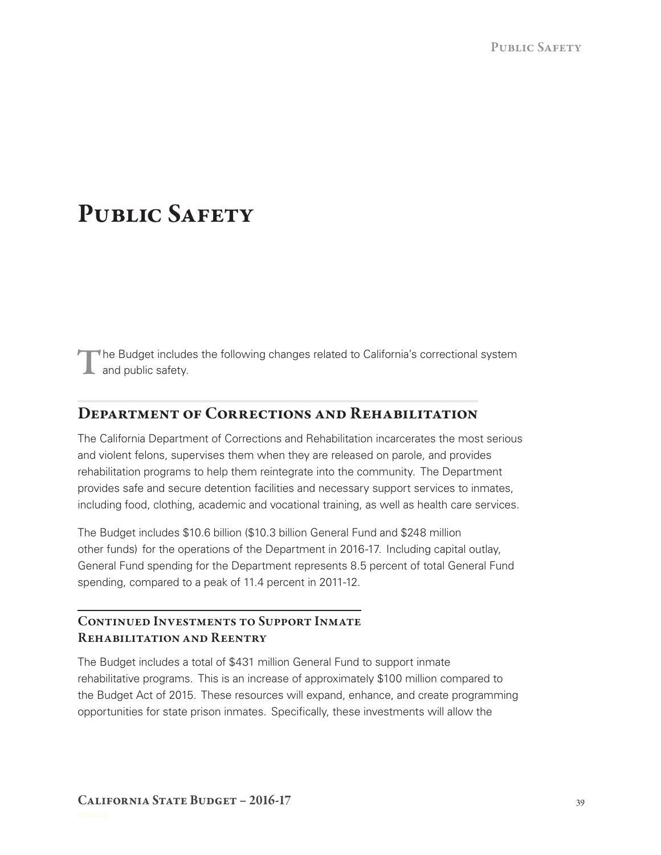# PUBLIC SAFETY

The Budget includes the following changes related to California's correctional system **L** and public safety.

## Department of Corrections and Rehabilitation

 and violent felons, supervises them when they are released on parole, and provides The California Department of Corrections and Rehabilitation incarcerates the most serious rehabilitation programs to help them reintegrate into the community. The Department provides safe and secure detention facilities and necessary support services to inmates, including food, clothing, academic and vocational training, as well as health care services.

 The Budget includes \$10.6 billion (\$10.3 billion General Fund and \$248 million General Fund spending for the Department represents 8.5 percent of total General Fund other funds) for the operations of the Department in 2016‑17. Including capital outlay, spending, compared to a peak of 11.4 percent in 2011-12.

### CONTINUED INVESTMENTS TO SUPPORT INMATE Rehabilitation and Reentry

The Budget includes a total of \$431 million General Fund to support inmate rehabilitative programs. This is an increase of approximately \$100 million compared to the Budget Act of 2015. These resources will expand, enhance, and create programming opportunities for state prison inmates. Specifically, these investments will allow the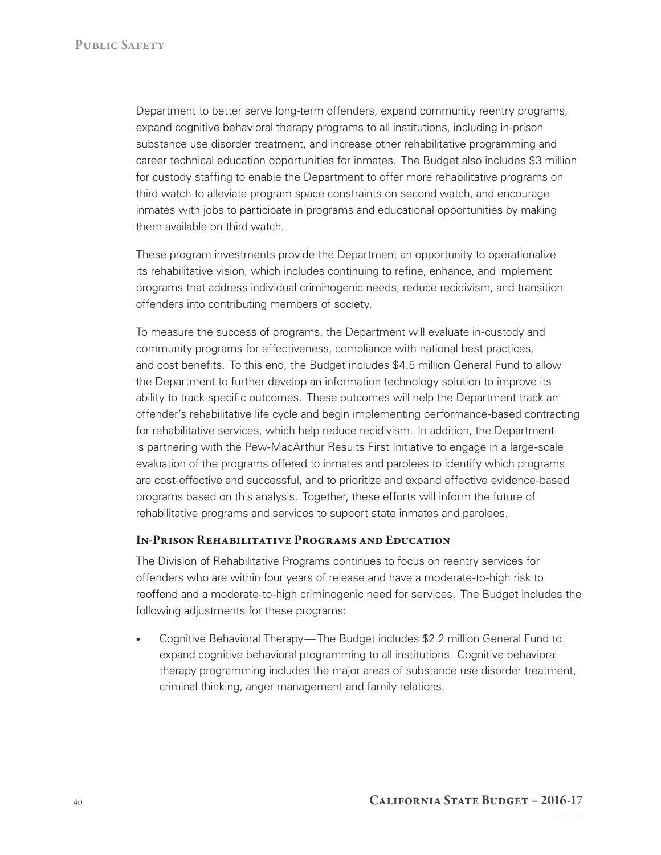career technical education opportunities for inmates. The Budget also includes \$3 million third watch to alleviate program space constraints on second watch, and encourage Department to better serve long-term offenders, expand community reentry programs, expand cognitive behavioral therapy programs to all institutions, including in‑prison substance use disorder treatment, and increase other rehabilitative programming and for custody staffing to enable the Department to offer more rehabilitative programs on inmates with jobs to participate in programs and educational opportunities by making them available on third watch.

 its rehabilitative vision, which includes continuing to refine, enhance, and implement programs that address individual criminogenic needs, reduce recidivism, and transition These program investments provide the Department an opportunity to operationalize offenders into contributing members of society.

 and cost benefits. To this end, the Budget includes \$4.5 million General Fund to allow To measure the success of programs, the Department will evaluate in‑custody and community programs for effectiveness, compliance with national best practices, the Department to further develop an information technology solution to improve its ability to track specific outcomes. These outcomes will help the Department track an offender's rehabilitative life cycle and begin implementing performance‑based contracting for rehabilitative services, which help reduce recidivism. In addition, the Department is partnering with the Pew-MacArthur Results First Initiative to engage in a large-scale evaluation of the programs offered to inmates and parolees to identify which programs are cost‑effective and successful, and to prioritize and expand effective evidence‑based programs based on this analysis. Together, these efforts will inform the future of rehabilitative programs and services to support state inmates and parolees.

#### In‑Prison Rehabilitative Programs and Education

The Division of Rehabilitative Programs continues to focus on reentry services for offenders who are within four years of release and have a moderate-to-high risk to reoffend and a moderate-to-high criminogenic need for services. The Budget includes the following adjustments for these programs:

• Cognitive Behavioral Therapy—The Budget includes \$2.2 million General Fund to expand cognitive behavioral programming to all institutions. Cognitive behavioral therapy programming includes the major areas of substance use disorder treatment, criminal thinking, anger management and family relations.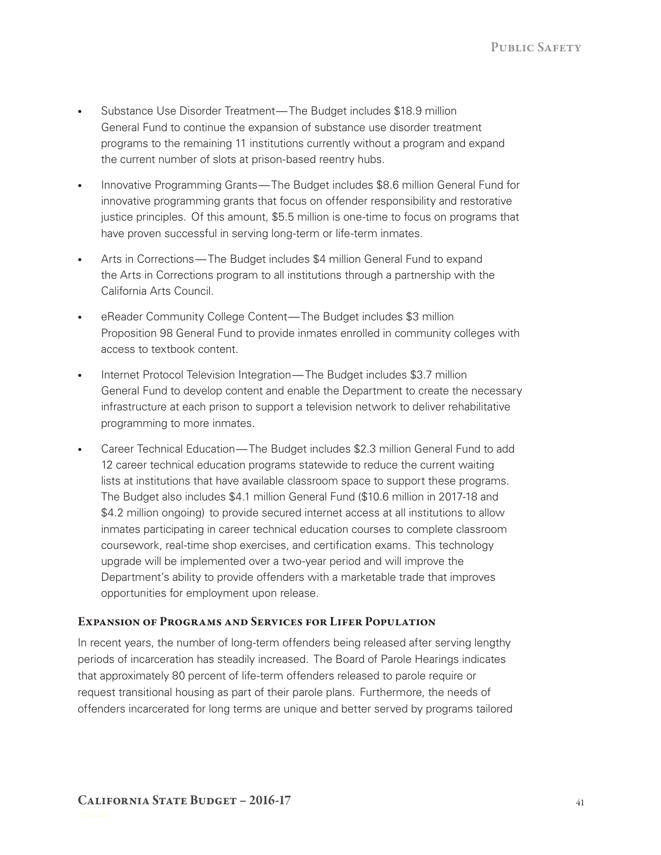- Substance Use Disorder Treatment—The Budget includes \$18.9 million General Fund to continue the expansion of substance use disorder treatment programs to the remaining 11 institutions currently without a program and expand the current number of slots at prison-based reentry hubs.
- • Innovative Programming Grants—The Budget includes \$8.6 million General Fund for innovative programming grants that focus on offender responsibility and restorative justice principles. Of this amount, \$5.5 million is one-time to focus on programs that have proven successful in serving long-term or life-term inmates.
- Arts in Corrections—The Budget includes \$4 million General Fund to expand the Arts in Corrections program to all institutions through a partnership with the California Arts Council.
- eReader Community College Content—The Budget includes \$3 million Proposition 98 General Fund to provide inmates enrolled in community colleges with access to textbook content.
- Internet Protocol Television Integration—The Budget includes \$3.7 million General Fund to develop content and enable the Department to create the necessary infrastructure at each prison to support a television network to deliver rehabilitative programming to more inmates.
- Career Technical Education—The Budget includes \$2.3 million General Fund to add \$4.2 million ongoing) to provide secured internet access at all institutions to allow 12 career technical education programs statewide to reduce the current waiting lists at institutions that have available classroom space to support these programs. The Budget also includes \$4.1 million General Fund (\$10.6 million in 2017‑18 and inmates participating in career technical education courses to complete classroom coursework, real-time shop exercises, and certification exams. This technology upgrade will be implemented over a two‑year period and will improve the Department's ability to provide offenders with a marketable trade that improves opportunities for employment upon release.

#### Expansion of Programs and Services for Lifer Population

 request transitional housing as part of their parole plans. Furthermore, the needs of In recent years, the number of long-term offenders being released after serving lengthy periods of incarceration has steadily increased. The Board of Parole Hearings indicates that approximately 80 percent of life‑term offenders released to parole require or offenders incarcerated for long terms are unique and better served by programs tailored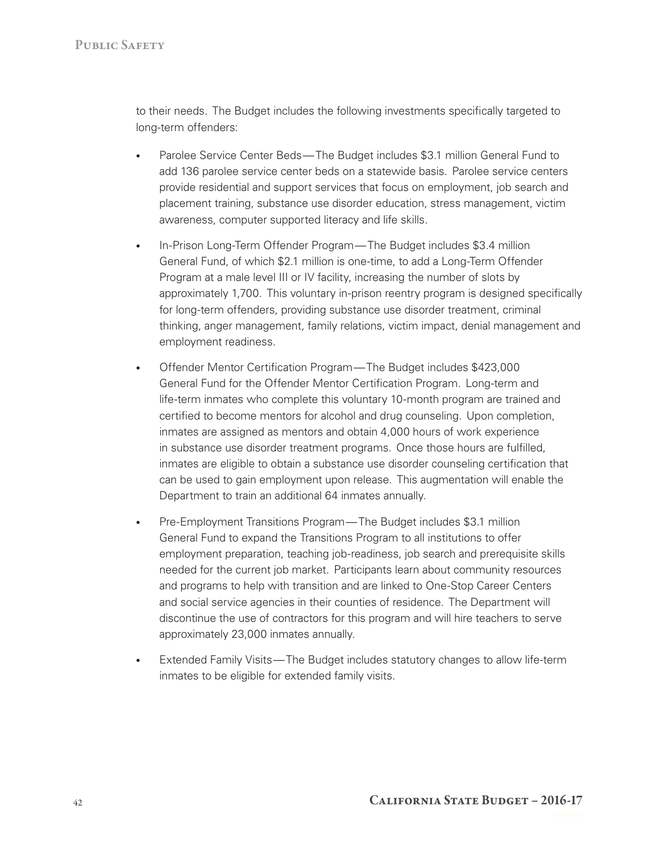to their needs. The Budget includes the following investments specifically targeted to long-term offenders:

- • Parolee Service Center Beds—The Budget includes \$3.1 million General Fund to add 136 parolee service center beds on a statewide basis. Parolee service centers provide residential and support services that focus on employment, job search and placement training, substance use disorder education, stress management, victim awareness, computer supported literacy and life skills.
- In-Prison Long-Term Offender Program—The Budget includes \$3.4 million General Fund, of which \$2.1 million is one-time, to add a Long-Term Offender Program at a male level III or IV facility, increasing the number of slots by approximately 1,700. This voluntary in‑prison reentry program is designed specifically for long-term offenders, providing substance use disorder treatment, criminal thinking, anger management, family relations, victim impact, denial management and employment readiness.
- Offender Mentor Certification Program—The Budget includes \$423,000 General Fund for the Offender Mentor Certification Program. Long-term and life-term inmates who complete this voluntary 10-month program are trained and certified to become mentors for alcohol and drug counseling. Upon completion, inmates are assigned as mentors and obtain 4,000 hours of work experience in substance use disorder treatment programs. Once those hours are fulfilled, inmates are eligible to obtain a substance use disorder counseling certification that can be used to gain employment upon release. This augmentation will enable the Department to train an additional 64 inmates annually.
- Pre-Employment Transitions Program—The Budget includes \$3.1 million General Fund to expand the Transitions Program to all institutions to offer employment preparation, teaching job-readiness, job search and prerequisite skills needed for the current job market. Participants learn about community resources and programs to help with transition and are linked to One‑Stop Career Centers and social service agencies in their counties of residence. The Department will discontinue the use of contractors for this program and will hire teachers to serve approximately 23,000 inmates annually.
- Extended Family Visits—The Budget includes statutory changes to allow life-term inmates to be eligible for extended family visits.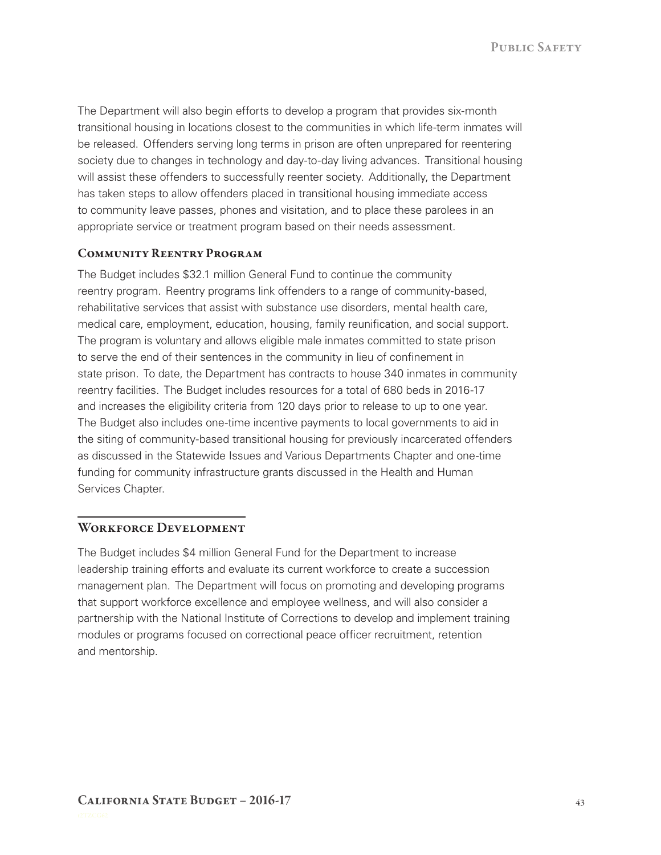PUBLIC SAFETY

The Department will also begin efforts to develop a program that provides six-month transitional housing in locations closest to the communities in which life-term inmates will be released. Offenders serving long terms in prison are often unprepared for reentering society due to changes in technology and day-to-day living advances. Transitional housing will assist these offenders to successfully reenter society. Additionally, the Department has taken steps to allow offenders placed in transitional housing immediate access to community leave passes, phones and visitation, and to place these parolees in an appropriate service or treatment program based on their needs assessment.

#### Community Reentry Program

 medical care, employment, education, housing, family reunification, and social support. state prison. To date, the Department has contracts to house 340 inmates in community The Budget includes \$32.1 million General Fund to continue the community reentry program. Reentry programs link offenders to a range of community-based, rehabilitative services that assist with substance use disorders, mental health care, The program is voluntary and allows eligible male inmates committed to state prison to serve the end of their sentences in the community in lieu of confinement in reentry facilities. The Budget includes resources for a total of 680 beds in 2016‑17 and increases the eligibility criteria from 120 days prior to release to up to one year. The Budget also includes one-time incentive payments to local governments to aid in the siting of community-based transitional housing for previously incarcerated offenders as discussed in the Statewide Issues and Various Departments Chapter and one-time funding for community infrastructure grants discussed in the Health and Human Services Chapter.

#### WORKFORCE DEVELOPMENT

The Budget includes \$4 million General Fund for the Department to increase leadership training efforts and evaluate its current workforce to create a succession management plan. The Department will focus on promoting and developing programs that support workforce excellence and employee wellness, and will also consider a partnership with the National Institute of Corrections to develop and implement training modules or programs focused on correctional peace officer recruitment, retention and mentorship.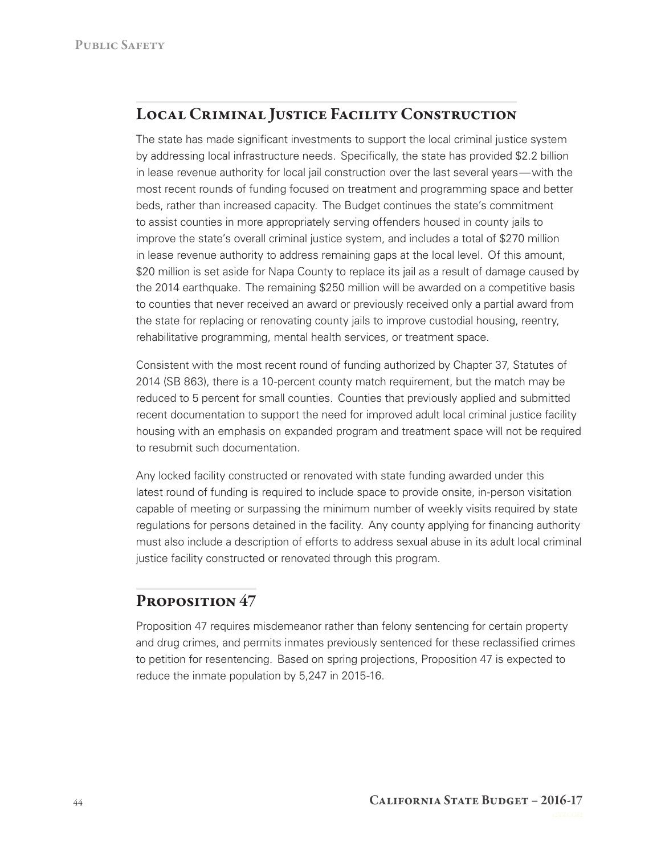# Local Criminal Justice Facility Construction

 by addressing local infrastructure needs. Specifically, the state has provided \$2.2 billion in lease revenue authority for local jail construction over the last several years—with the improve the state's overall criminal justice system, and includes a total of \$270 million rehabilitative programming, mental health services, or treatment space. The state has made significant investments to support the local criminal justice system most recent rounds of funding focused on treatment and programming space and better beds, rather than increased capacity. The Budget continues the state's commitment to assist counties in more appropriately serving offenders housed in county jails to in lease revenue authority to address remaining gaps at the local level. Of this amount, \$20 million is set aside for Napa County to replace its jail as a result of damage caused by the 2014 earthquake. The remaining \$250 million will be awarded on a competitive basis to counties that never received an award or previously received only a partial award from the state for replacing or renovating county jails to improve custodial housing, reentry,

Consistent with the most recent round of funding authorized by Chapter 37, Statutes of 2014 (SB 863), there is a 10‑percent county match requirement, but the match may be reduced to 5 percent for small counties. Counties that previously applied and submitted recent documentation to support the need for improved adult local criminal justice facility housing with an emphasis on expanded program and treatment space will not be required to resubmit such documentation.

Any locked facility constructed or renovated with state funding awarded under this latest round of funding is required to include space to provide onsite, in-person visitation capable of meeting or surpassing the minimum number of weekly visits required by state regulations for persons detained in the facility. Any county applying for financing authority must also include a description of efforts to address sexual abuse in its adult local criminal justice facility constructed or renovated through this program.

# PROPOSITION 47

Proposition 47 requires misdemeanor rather than felony sentencing for certain property and drug crimes, and permits inmates previously sentenced for these reclassified crimes to petition for resentencing. Based on spring projections, Proposition 47 is expected to reduce the inmate population by 5,247 in 2015-16.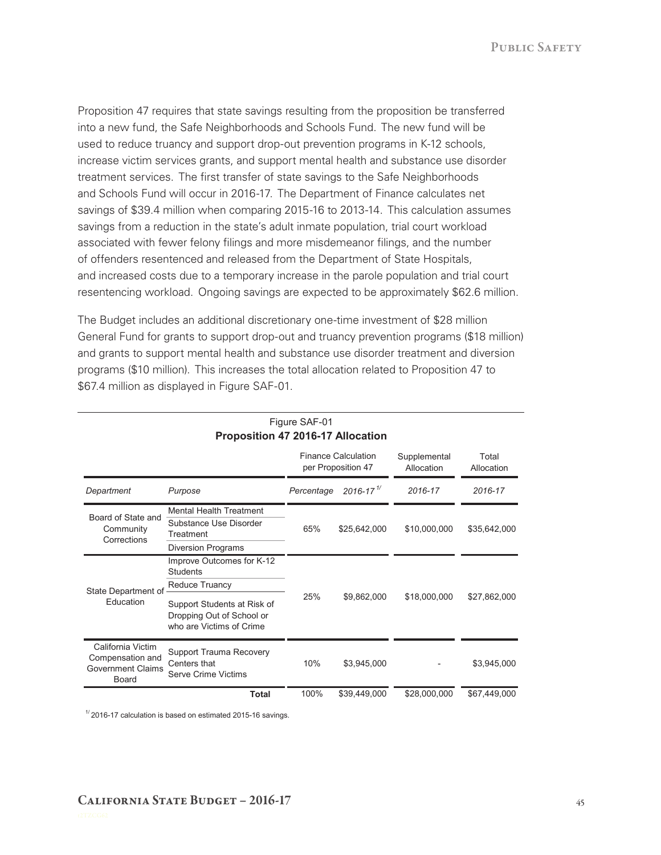Proposition 47 requires that state savings resulting from the proposition be transferred into a new fund, the Safe Neighborhoods and Schools Fund. The new fund will be used to reduce truancy and support drop-out prevention programs in K-12 schools, increase victim services grants, and support mental health and substance use disorder treatment services. The first transfer of state savings to the Safe Neighborhoods and Schools Fund will occur in 2016‑17. The Department of Finance calculates net savings of \$39.4 million when comparing 2015-16 to 2013-14. This calculation assumes savings from a reduction in the state's adult inmate population, trial court workload associated with fewer felony filings and more misdemeanor filings, and the number of offenders resentenced and released from the Department of State Hospitals, and increased costs due to a temporary increase in the parole population and trial court resentencing workload. Ongoing savings are expected to be approximately \$62.6 million.

 The Budget includes an additional discretionary one‑time investment of \$28 million programs (\$10 million). This increases the total allocation related to Proposition 47 to General Fund for grants to support drop‑out and truancy prevention programs (\$18 million) and grants to support mental health and substance use disorder treatment and diversion \$67.4 million as displayed in Figure SAF‑01.

|                                                                            |                                                                                                    | <b>Finance Calculation</b><br>per Proposition 47 |                           | Supplemental<br>Allocation | Total<br>Allocation |
|----------------------------------------------------------------------------|----------------------------------------------------------------------------------------------------|--------------------------------------------------|---------------------------|----------------------------|---------------------|
| Department                                                                 | Purpose                                                                                            | Percentage                                       | $2016 - 17$ <sup>1/</sup> | 2016-17                    | 2016-17             |
| Board of State and<br>Community<br>Corrections                             | <b>Mental Health Treatment</b><br>Substance Use Disorder<br>Treatment<br><b>Diversion Programs</b> | 65%                                              | \$25,642,000              | \$10,000,000               | \$35,642,000        |
| State Department of<br>Education                                           | Improve Outcomes for K-12<br><b>Students</b><br>Reduce Truancy                                     | 25%                                              | \$9,862,000               | \$18,000,000               | \$27,862,000        |
|                                                                            | Support Students at Risk of<br>Dropping Out of School or<br>who are Victims of Crime               |                                                  |                           |                            |                     |
| California Victim<br>Compensation and<br><b>Government Claims</b><br>Board | <b>Support Trauma Recovery</b><br>Centers that<br>Serve Crime Victims                              | 10%                                              | \$3,945,000               |                            | \$3,945,000         |
|                                                                            | <b>Total</b>                                                                                       | 100%                                             | \$39,449,000              | \$28,000,000               | \$67,449,000        |

#### Figure SAF-01 **Proposition 47 2016-17 Allocation**

 $1/2016$ -17 calculation is based on estimated 2015-16 savings.